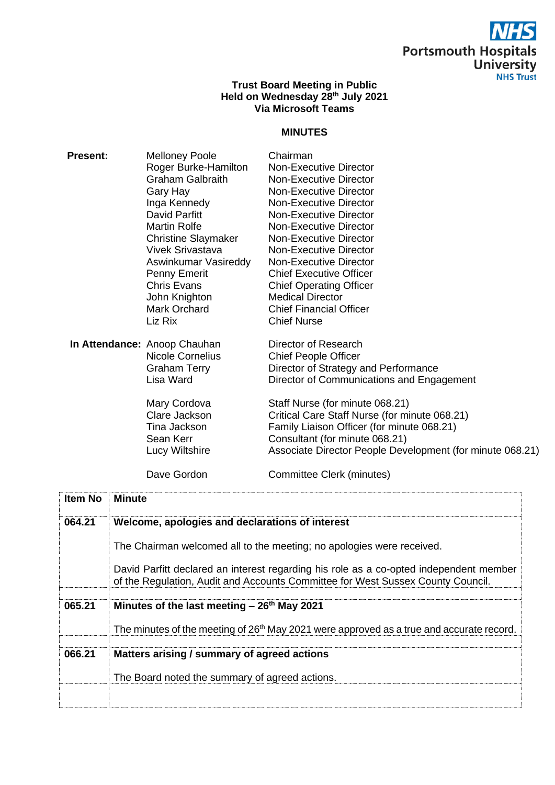

## **Trust Board Meeting in Public Held on Wednesday 28 th July 2021 Via Microsoft Teams**

## **MINUTES**

| <b>Present:</b> | <b>Melloney Poole</b><br>Roger Burke-Hamilton<br><b>Graham Galbraith</b><br>Gary Hay<br>Inga Kennedy<br>David Parfitt<br>Martin Rolfe<br><b>Christine Slaymaker</b><br><b>Vivek Srivastava</b><br>Aswinkumar Vasireddy<br>Penny Emerit<br><b>Chris Evans</b><br>John Knighton<br>Mark Orchard<br>Liz Rix | Chairman<br>Non-Executive Director<br><b>Non-Executive Director</b><br><b>Non-Executive Director</b><br><b>Non-Executive Director</b><br>Non-Executive Director<br>Non-Executive Director<br>Non-Executive Director<br><b>Non-Executive Director</b><br><b>Non-Executive Director</b><br><b>Chief Executive Officer</b><br><b>Chief Operating Officer</b><br><b>Medical Director</b><br><b>Chief Financial Officer</b><br><b>Chief Nurse</b> |
|-----------------|----------------------------------------------------------------------------------------------------------------------------------------------------------------------------------------------------------------------------------------------------------------------------------------------------------|----------------------------------------------------------------------------------------------------------------------------------------------------------------------------------------------------------------------------------------------------------------------------------------------------------------------------------------------------------------------------------------------------------------------------------------------|
|                 | In Attendance: Anoop Chauhan<br><b>Nicole Cornelius</b><br><b>Graham Terry</b><br>Lisa Ward<br>Mary Cordova<br>Clare Jackson<br>Tina Jackson<br>Sean Kerr<br>Lucy Wiltshire                                                                                                                              | Director of Research<br><b>Chief People Officer</b><br>Director of Strategy and Performance<br>Director of Communications and Engagement<br>Staff Nurse (for minute 068.21)<br>Critical Care Staff Nurse (for minute 068.21)<br>Family Liaison Officer (for minute 068.21)<br>Consultant (for minute 068.21)<br>Associate Director People Development (for minute 068.21)                                                                    |
|                 | Dave Gordon                                                                                                                                                                                                                                                                                              | Committee Clerk (minutes)                                                                                                                                                                                                                                                                                                                                                                                                                    |

| <b>Item No</b> | <b>Minute</b>                                                                                                                                                             |
|----------------|---------------------------------------------------------------------------------------------------------------------------------------------------------------------------|
| 064.21         | Welcome, apologies and declarations of interest                                                                                                                           |
|                | The Chairman welcomed all to the meeting; no apologies were received.                                                                                                     |
|                | David Parfitt declared an interest regarding his role as a co-opted independent member<br>of the Regulation, Audit and Accounts Committee for West Sussex County Council. |
|                |                                                                                                                                                                           |
| 065.21         | Minutes of the last meeting $-26th$ May 2021                                                                                                                              |
|                | The minutes of the meeting of 26 <sup>th</sup> May 2021 were approved as a true and accurate record.                                                                      |
| 066.21         | Matters arising / summary of agreed actions                                                                                                                               |
|                | The Board noted the summary of agreed actions.                                                                                                                            |
|                |                                                                                                                                                                           |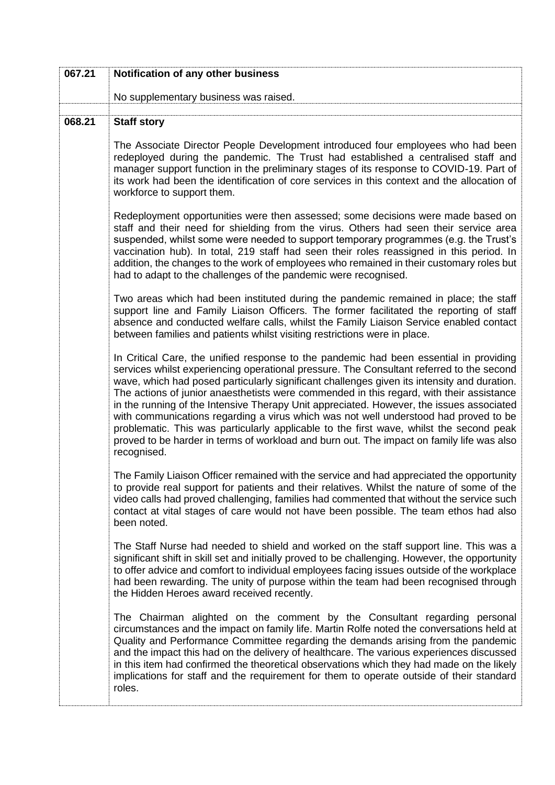| 067.21 | Notification of any other business                                                                                                                                                                                                                                                                                                                                                                                                                                                                                                                                                                                                                                                                                                                                       |
|--------|--------------------------------------------------------------------------------------------------------------------------------------------------------------------------------------------------------------------------------------------------------------------------------------------------------------------------------------------------------------------------------------------------------------------------------------------------------------------------------------------------------------------------------------------------------------------------------------------------------------------------------------------------------------------------------------------------------------------------------------------------------------------------|
|        | No supplementary business was raised.                                                                                                                                                                                                                                                                                                                                                                                                                                                                                                                                                                                                                                                                                                                                    |
| 068.21 | <b>Staff story</b>                                                                                                                                                                                                                                                                                                                                                                                                                                                                                                                                                                                                                                                                                                                                                       |
|        | The Associate Director People Development introduced four employees who had been<br>redeployed during the pandemic. The Trust had established a centralised staff and<br>manager support function in the preliminary stages of its response to COVID-19. Part of<br>its work had been the identification of core services in this context and the allocation of<br>workforce to support them.                                                                                                                                                                                                                                                                                                                                                                            |
|        | Redeployment opportunities were then assessed; some decisions were made based on<br>staff and their need for shielding from the virus. Others had seen their service area<br>suspended, whilst some were needed to support temporary programmes (e.g. the Trust's<br>vaccination hub). In total, 219 staff had seen their roles reassigned in this period. In<br>addition, the changes to the work of employees who remained in their customary roles but<br>had to adapt to the challenges of the pandemic were recognised.                                                                                                                                                                                                                                             |
|        | Two areas which had been instituted during the pandemic remained in place; the staff<br>support line and Family Liaison Officers. The former facilitated the reporting of staff<br>absence and conducted welfare calls, whilst the Family Liaison Service enabled contact<br>between families and patients whilst visiting restrictions were in place.                                                                                                                                                                                                                                                                                                                                                                                                                   |
|        | In Critical Care, the unified response to the pandemic had been essential in providing<br>services whilst experiencing operational pressure. The Consultant referred to the second<br>wave, which had posed particularly significant challenges given its intensity and duration.<br>The actions of junior anaesthetists were commended in this regard, with their assistance<br>in the running of the Intensive Therapy Unit appreciated. However, the issues associated<br>with communications regarding a virus which was not well understood had proved to be<br>problematic. This was particularly applicable to the first wave, whilst the second peak<br>proved to be harder in terms of workload and burn out. The impact on family life was also<br>recognised. |
|        | The Family Liaison Officer remained with the service and had appreciated the opportunity<br>to provide real support for patients and their relatives. Whilst the nature of some of the<br>video calls had proved challenging, families had commented that without the service such<br>contact at vital stages of care would not have been possible. The team ethos had also<br>been noted.                                                                                                                                                                                                                                                                                                                                                                               |
|        | The Staff Nurse had needed to shield and worked on the staff support line. This was a<br>significant shift in skill set and initially proved to be challenging. However, the opportunity<br>to offer advice and comfort to individual employees facing issues outside of the workplace<br>had been rewarding. The unity of purpose within the team had been recognised through<br>the Hidden Heroes award received recently.                                                                                                                                                                                                                                                                                                                                             |
|        | The Chairman alighted on the comment by the Consultant regarding personal<br>circumstances and the impact on family life. Martin Rolfe noted the conversations held at<br>Quality and Performance Committee regarding the demands arising from the pandemic<br>and the impact this had on the delivery of healthcare. The various experiences discussed<br>in this item had confirmed the theoretical observations which they had made on the likely<br>implications for staff and the requirement for them to operate outside of their standard<br>roles.                                                                                                                                                                                                               |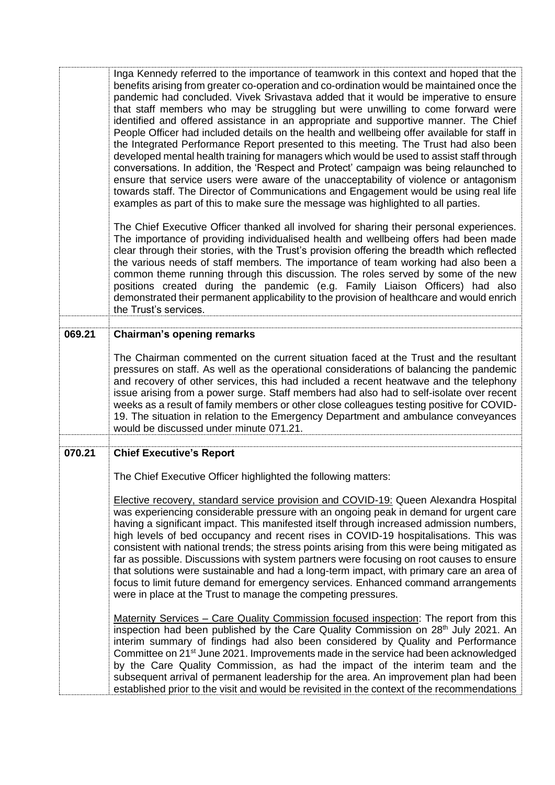|        | Inga Kennedy referred to the importance of teamwork in this context and hoped that the<br>benefits arising from greater co-operation and co-ordination would be maintained once the<br>pandemic had concluded. Vivek Srivastava added that it would be imperative to ensure<br>that staff members who may be struggling but were unwilling to come forward were<br>identified and offered assistance in an appropriate and supportive manner. The Chief<br>People Officer had included details on the health and wellbeing offer available for staff in<br>the Integrated Performance Report presented to this meeting. The Trust had also been<br>developed mental health training for managers which would be used to assist staff through<br>conversations. In addition, the 'Respect and Protect' campaign was being relaunched to<br>ensure that service users were aware of the unacceptability of violence or antagonism<br>towards staff. The Director of Communications and Engagement would be using real life<br>examples as part of this to make sure the message was highlighted to all parties. |
|--------|---------------------------------------------------------------------------------------------------------------------------------------------------------------------------------------------------------------------------------------------------------------------------------------------------------------------------------------------------------------------------------------------------------------------------------------------------------------------------------------------------------------------------------------------------------------------------------------------------------------------------------------------------------------------------------------------------------------------------------------------------------------------------------------------------------------------------------------------------------------------------------------------------------------------------------------------------------------------------------------------------------------------------------------------------------------------------------------------------------------|
|        | The Chief Executive Officer thanked all involved for sharing their personal experiences.<br>The importance of providing individualised health and wellbeing offers had been made<br>clear through their stories, with the Trust's provision offering the breadth which reflected<br>the various needs of staff members. The importance of team working had also been a<br>common theme running through this discussion. The roles served by some of the new<br>positions created during the pandemic (e.g. Family Liaison Officers) had also<br>demonstrated their permanent applicability to the provision of healthcare and would enrich<br>the Trust's services.                                                                                                                                                                                                                                                                                                                                                                                                                                           |
| 069.21 | <b>Chairman's opening remarks</b>                                                                                                                                                                                                                                                                                                                                                                                                                                                                                                                                                                                                                                                                                                                                                                                                                                                                                                                                                                                                                                                                             |
|        | The Chairman commented on the current situation faced at the Trust and the resultant<br>pressures on staff. As well as the operational considerations of balancing the pandemic<br>and recovery of other services, this had included a recent heatwave and the telephony<br>issue arising from a power surge. Staff members had also had to self-isolate over recent<br>weeks as a result of family members or other close colleagues testing positive for COVID-<br>19. The situation in relation to the Emergency Department and ambulance conveyances<br>would be discussed under minute 071.21.                                                                                                                                                                                                                                                                                                                                                                                                                                                                                                           |
| 070.21 | <b>Chief Executive's Report</b>                                                                                                                                                                                                                                                                                                                                                                                                                                                                                                                                                                                                                                                                                                                                                                                                                                                                                                                                                                                                                                                                               |
|        | The Chief Executive Officer highlighted the following matters:                                                                                                                                                                                                                                                                                                                                                                                                                                                                                                                                                                                                                                                                                                                                                                                                                                                                                                                                                                                                                                                |
|        | Elective recovery, standard service provision and COVID-19: Queen Alexandra Hospital<br>was experiencing considerable pressure with an ongoing peak in demand for urgent care<br>having a significant impact. This manifested itself through increased admission numbers,<br>high levels of bed occupancy and recent rises in COVID-19 hospitalisations. This was<br>consistent with national trends; the stress points arising from this were being mitigated as<br>far as possible. Discussions with system partners were focusing on root causes to ensure<br>that solutions were sustainable and had a long-term impact, with primary care an area of<br>focus to limit future demand for emergency services. Enhanced command arrangements<br>were in place at the Trust to manage the competing pressures.                                                                                                                                                                                                                                                                                              |
|        | Maternity Services - Care Quality Commission focused inspection: The report from this<br>inspection had been published by the Care Quality Commission on 28 <sup>th</sup> July 2021. An<br>interim summary of findings had also been considered by Quality and Performance<br>Committee on 21 <sup>st</sup> June 2021. Improvements made in the service had been acknowledged<br>by the Care Quality Commission, as had the impact of the interim team and the<br>subsequent arrival of permanent leadership for the area. An improvement plan had been<br>established prior to the visit and would be revisited in the context of the recommendations                                                                                                                                                                                                                                                                                                                                                                                                                                                        |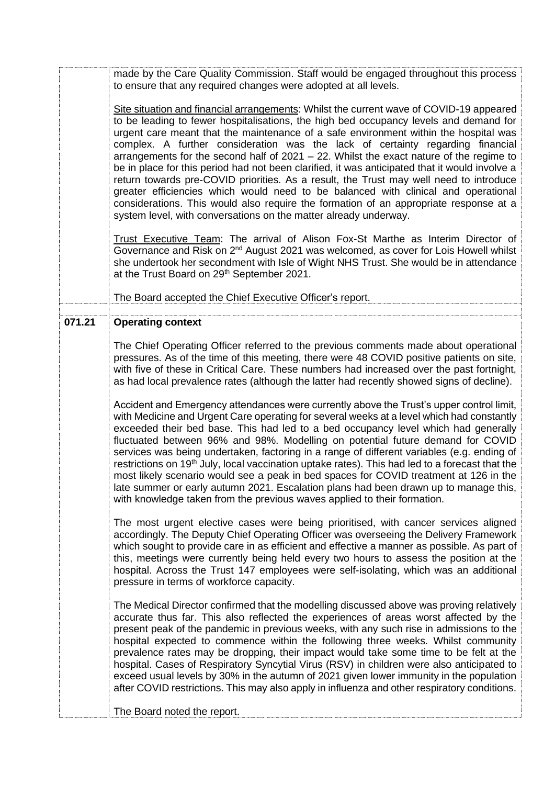|        | made by the Care Quality Commission. Staff would be engaged throughout this process<br>to ensure that any required changes were adopted at all levels.                                                                                                                                                                                                                                                                                                                                                                                                                                                                                                                                                                                                                                                                                                                                                  |
|--------|---------------------------------------------------------------------------------------------------------------------------------------------------------------------------------------------------------------------------------------------------------------------------------------------------------------------------------------------------------------------------------------------------------------------------------------------------------------------------------------------------------------------------------------------------------------------------------------------------------------------------------------------------------------------------------------------------------------------------------------------------------------------------------------------------------------------------------------------------------------------------------------------------------|
|        | Site situation and financial arrangements: Whilst the current wave of COVID-19 appeared<br>to be leading to fewer hospitalisations, the high bed occupancy levels and demand for<br>urgent care meant that the maintenance of a safe environment within the hospital was<br>complex. A further consideration was the lack of certainty regarding financial<br>arrangements for the second half of $2021 - 22$ . Whilst the exact nature of the regime to<br>be in place for this period had not been clarified, it was anticipated that it would involve a<br>return towards pre-COVID priorities. As a result, the Trust may well need to introduce<br>greater efficiencies which would need to be balanced with clinical and operational<br>considerations. This would also require the formation of an appropriate response at a<br>system level, with conversations on the matter already underway. |
|        | Trust Executive Team: The arrival of Alison Fox-St Marthe as Interim Director of<br>Governance and Risk on 2 <sup>nd</sup> August 2021 was welcomed, as cover for Lois Howell whilst<br>she undertook her secondment with Isle of Wight NHS Trust. She would be in attendance<br>at the Trust Board on 29th September 2021.                                                                                                                                                                                                                                                                                                                                                                                                                                                                                                                                                                             |
|        | The Board accepted the Chief Executive Officer's report.                                                                                                                                                                                                                                                                                                                                                                                                                                                                                                                                                                                                                                                                                                                                                                                                                                                |
| 071.21 | <b>Operating context</b>                                                                                                                                                                                                                                                                                                                                                                                                                                                                                                                                                                                                                                                                                                                                                                                                                                                                                |
|        | The Chief Operating Officer referred to the previous comments made about operational<br>pressures. As of the time of this meeting, there were 48 COVID positive patients on site,<br>with five of these in Critical Care. These numbers had increased over the past fortnight,<br>as had local prevalence rates (although the latter had recently showed signs of decline).                                                                                                                                                                                                                                                                                                                                                                                                                                                                                                                             |
|        | Accident and Emergency attendances were currently above the Trust's upper control limit,<br>with Medicine and Urgent Care operating for several weeks at a level which had constantly<br>exceeded their bed base. This had led to a bed occupancy level which had generally<br>fluctuated between 96% and 98%. Modelling on potential future demand for COVID<br>services was being undertaken, factoring in a range of different variables (e.g. ending of<br>restrictions on 19 <sup>th</sup> July, local vaccination uptake rates). This had led to a forecast that the<br>most likely scenario would see a peak in bed spaces for COVID treatment at 126 in the<br>late summer or early autumn 2021. Escalation plans had been drawn up to manage this,<br>with knowledge taken from the previous waves applied to their formation.                                                                 |
|        | The most urgent elective cases were being prioritised, with cancer services aligned<br>accordingly. The Deputy Chief Operating Officer was overseeing the Delivery Framework<br>which sought to provide care in as efficient and effective a manner as possible. As part of<br>this, meetings were currently being held every two hours to assess the position at the<br>hospital. Across the Trust 147 employees were self-isolating, which was an additional<br>pressure in terms of workforce capacity.                                                                                                                                                                                                                                                                                                                                                                                              |
|        | The Medical Director confirmed that the modelling discussed above was proving relatively<br>accurate thus far. This also reflected the experiences of areas worst affected by the<br>present peak of the pandemic in previous weeks, with any such rise in admissions to the<br>hospital expected to commence within the following three weeks. Whilst community<br>prevalence rates may be dropping, their impact would take some time to be felt at the<br>hospital. Cases of Respiratory Syncytial Virus (RSV) in children were also anticipated to<br>exceed usual levels by 30% in the autumn of 2021 given lower immunity in the population<br>after COVID restrictions. This may also apply in influenza and other respiratory conditions.<br>The Board noted the report.                                                                                                                        |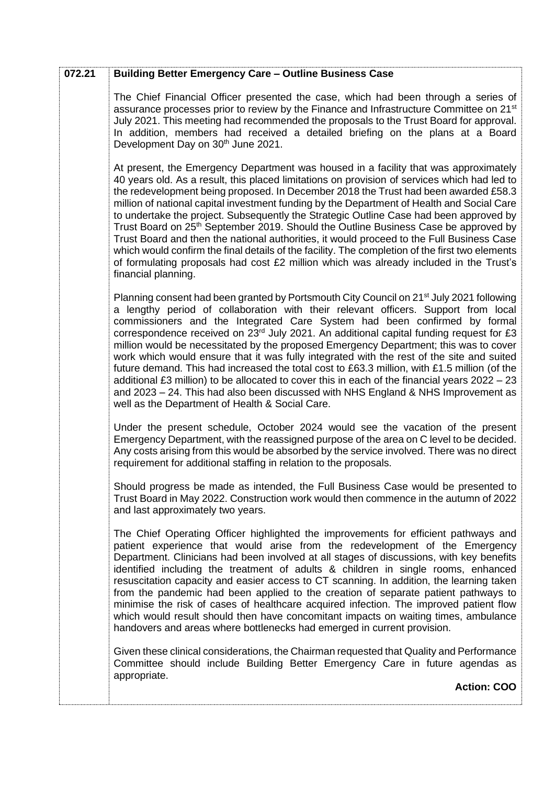| 072.21 | <b>Building Better Emergency Care - Outline Business Case</b>                                                                                                                                                                                                                                                                                                                                                                                                                                                                                                                                                                                                                                                                                                                                                                                                                                     |
|--------|---------------------------------------------------------------------------------------------------------------------------------------------------------------------------------------------------------------------------------------------------------------------------------------------------------------------------------------------------------------------------------------------------------------------------------------------------------------------------------------------------------------------------------------------------------------------------------------------------------------------------------------------------------------------------------------------------------------------------------------------------------------------------------------------------------------------------------------------------------------------------------------------------|
|        | The Chief Financial Officer presented the case, which had been through a series of<br>assurance processes prior to review by the Finance and Infrastructure Committee on 21 <sup>st</sup><br>July 2021. This meeting had recommended the proposals to the Trust Board for approval.<br>In addition, members had received a detailed briefing on the plans at a Board<br>Development Day on 30 <sup>th</sup> June 2021.                                                                                                                                                                                                                                                                                                                                                                                                                                                                            |
|        | At present, the Emergency Department was housed in a facility that was approximately<br>40 years old. As a result, this placed limitations on provision of services which had led to<br>the redevelopment being proposed. In December 2018 the Trust had been awarded £58.3<br>million of national capital investment funding by the Department of Health and Social Care<br>to undertake the project. Subsequently the Strategic Outline Case had been approved by<br>Trust Board on 25 <sup>th</sup> September 2019. Should the Outline Business Case be approved by<br>Trust Board and then the national authorities, it would proceed to the Full Business Case<br>which would confirm the final details of the facility. The completion of the first two elements<br>of formulating proposals had cost £2 million which was already included in the Trust's<br>financial planning.           |
|        | Planning consent had been granted by Portsmouth City Council on 21 <sup>st</sup> July 2021 following<br>a lengthy period of collaboration with their relevant officers. Support from local<br>commissioners and the Integrated Care System had been confirmed by formal<br>correspondence received on 23rd July 2021. An additional capital funding request for £3<br>million would be necessitated by the proposed Emergency Department; this was to cover<br>work which would ensure that it was fully integrated with the rest of the site and suited<br>future demand. This had increased the total cost to £63.3 million, with £1.5 million (of the<br>additional £3 million) to be allocated to cover this in each of the financial years 2022 - 23<br>and 2023 – 24. This had also been discussed with NHS England & NHS Improvement as<br>well as the Department of Health & Social Care. |
|        | Under the present schedule, October 2024 would see the vacation of the present<br>Emergency Department, with the reassigned purpose of the area on C level to be decided.<br>Any costs arising from this would be absorbed by the service involved. There was no direct<br>requirement for additional staffing in relation to the proposals.                                                                                                                                                                                                                                                                                                                                                                                                                                                                                                                                                      |
|        | Should progress be made as intended, the Full Business Case would be presented to<br>Trust Board in May 2022. Construction work would then commence in the autumn of 2022<br>and last approximately two years.                                                                                                                                                                                                                                                                                                                                                                                                                                                                                                                                                                                                                                                                                    |
|        | The Chief Operating Officer highlighted the improvements for efficient pathways and<br>patient experience that would arise from the redevelopment of the Emergency<br>Department. Clinicians had been involved at all stages of discussions, with key benefits<br>identified including the treatment of adults & children in single rooms, enhanced<br>resuscitation capacity and easier access to CT scanning. In addition, the learning taken<br>from the pandemic had been applied to the creation of separate patient pathways to<br>minimise the risk of cases of healthcare acquired infection. The improved patient flow<br>which would result should then have concomitant impacts on waiting times, ambulance<br>handovers and areas where bottlenecks had emerged in current provision.                                                                                                 |
|        | Given these clinical considerations, the Chairman requested that Quality and Performance<br>Committee should include Building Better Emergency Care in future agendas as<br>appropriate.                                                                                                                                                                                                                                                                                                                                                                                                                                                                                                                                                                                                                                                                                                          |
|        | <b>Action: COO</b>                                                                                                                                                                                                                                                                                                                                                                                                                                                                                                                                                                                                                                                                                                                                                                                                                                                                                |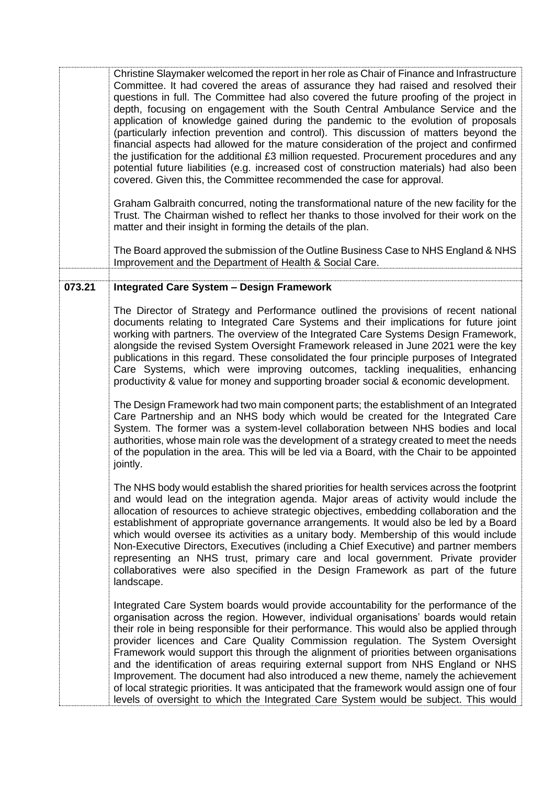|        | Christine Slaymaker welcomed the report in her role as Chair of Finance and Infrastructure<br>Committee. It had covered the areas of assurance they had raised and resolved their<br>questions in full. The Committee had also covered the future proofing of the project in<br>depth, focusing on engagement with the South Central Ambulance Service and the<br>application of knowledge gained during the pandemic to the evolution of proposals<br>(particularly infection prevention and control). This discussion of matters beyond the<br>financial aspects had allowed for the mature consideration of the project and confirmed<br>the justification for the additional £3 million requested. Procurement procedures and any<br>potential future liabilities (e.g. increased cost of construction materials) had also been<br>covered. Given this, the Committee recommended the case for approval. |
|--------|--------------------------------------------------------------------------------------------------------------------------------------------------------------------------------------------------------------------------------------------------------------------------------------------------------------------------------------------------------------------------------------------------------------------------------------------------------------------------------------------------------------------------------------------------------------------------------------------------------------------------------------------------------------------------------------------------------------------------------------------------------------------------------------------------------------------------------------------------------------------------------------------------------------|
|        | Graham Galbraith concurred, noting the transformational nature of the new facility for the<br>Trust. The Chairman wished to reflect her thanks to those involved for their work on the<br>matter and their insight in forming the details of the plan.                                                                                                                                                                                                                                                                                                                                                                                                                                                                                                                                                                                                                                                       |
|        | The Board approved the submission of the Outline Business Case to NHS England & NHS<br>Improvement and the Department of Health & Social Care.                                                                                                                                                                                                                                                                                                                                                                                                                                                                                                                                                                                                                                                                                                                                                               |
| 073.21 | <b>Integrated Care System - Design Framework</b>                                                                                                                                                                                                                                                                                                                                                                                                                                                                                                                                                                                                                                                                                                                                                                                                                                                             |
|        |                                                                                                                                                                                                                                                                                                                                                                                                                                                                                                                                                                                                                                                                                                                                                                                                                                                                                                              |
|        | The Director of Strategy and Performance outlined the provisions of recent national<br>documents relating to Integrated Care Systems and their implications for future joint<br>working with partners. The overview of the Integrated Care Systems Design Framework,<br>alongside the revised System Oversight Framework released in June 2021 were the key<br>publications in this regard. These consolidated the four principle purposes of Integrated<br>Care Systems, which were improving outcomes, tackling inequalities, enhancing<br>productivity & value for money and supporting broader social & economic development.                                                                                                                                                                                                                                                                            |
|        | The Design Framework had two main component parts; the establishment of an Integrated<br>Care Partnership and an NHS body which would be created for the Integrated Care<br>System. The former was a system-level collaboration between NHS bodies and local<br>authorities, whose main role was the development of a strategy created to meet the needs<br>of the population in the area. This will be led via a Board, with the Chair to be appointed<br>jointly.                                                                                                                                                                                                                                                                                                                                                                                                                                          |
|        | The NHS body would establish the shared priorities for health services across the footprint<br>and would lead on the integration agenda. Major areas of activity would include the<br>allocation of resources to achieve strategic objectives, embedding collaboration and the<br>establishment of appropriate governance arrangements. It would also be led by a Board<br>which would oversee its activities as a unitary body. Membership of this would include<br>Non-Executive Directors, Executives (including a Chief Executive) and partner members<br>representing an NHS trust, primary care and local government. Private provider<br>collaboratives were also specified in the Design Framework as part of the future<br>landscape.                                                                                                                                                               |
|        | Integrated Care System boards would provide accountability for the performance of the<br>organisation across the region. However, individual organisations' boards would retain<br>their role in being responsible for their performance. This would also be applied through<br>provider licences and Care Quality Commission regulation. The System Oversight<br>Framework would support this through the alignment of priorities between organisations<br>and the identification of areas requiring external support from NHS England or NHS<br>Improvement. The document had also introduced a new theme, namely the achievement<br>of local strategic priorities. It was anticipated that the framework would assign one of four<br>levels of oversight to which the Integrated Care System would be subject. This would                                                                                 |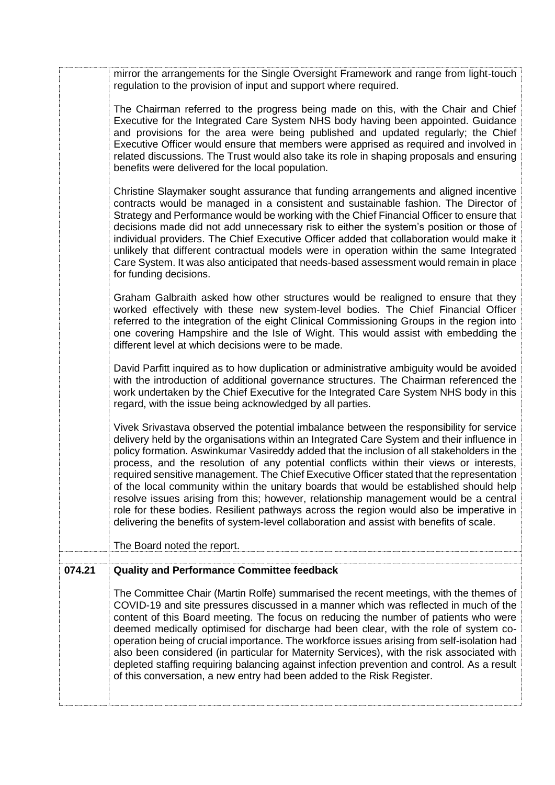|        | mirror the arrangements for the Single Oversight Framework and range from light-touch<br>regulation to the provision of input and support where required.                                                                                                                                                                                                                                                                                                                                                                                                                                                                                                                                                                                                                                                                                              |
|--------|--------------------------------------------------------------------------------------------------------------------------------------------------------------------------------------------------------------------------------------------------------------------------------------------------------------------------------------------------------------------------------------------------------------------------------------------------------------------------------------------------------------------------------------------------------------------------------------------------------------------------------------------------------------------------------------------------------------------------------------------------------------------------------------------------------------------------------------------------------|
|        | The Chairman referred to the progress being made on this, with the Chair and Chief<br>Executive for the Integrated Care System NHS body having been appointed. Guidance<br>and provisions for the area were being published and updated regularly; the Chief<br>Executive Officer would ensure that members were apprised as required and involved in<br>related discussions. The Trust would also take its role in shaping proposals and ensuring<br>benefits were delivered for the local population.                                                                                                                                                                                                                                                                                                                                                |
|        | Christine Slaymaker sought assurance that funding arrangements and aligned incentive<br>contracts would be managed in a consistent and sustainable fashion. The Director of<br>Strategy and Performance would be working with the Chief Financial Officer to ensure that<br>decisions made did not add unnecessary risk to either the system's position or those of<br>individual providers. The Chief Executive Officer added that collaboration would make it<br>unlikely that different contractual models were in operation within the same Integrated<br>Care System. It was also anticipated that needs-based assessment would remain in place<br>for funding decisions.                                                                                                                                                                         |
|        | Graham Galbraith asked how other structures would be realigned to ensure that they<br>worked effectively with these new system-level bodies. The Chief Financial Officer<br>referred to the integration of the eight Clinical Commissioning Groups in the region into<br>one covering Hampshire and the Isle of Wight. This would assist with embedding the<br>different level at which decisions were to be made.                                                                                                                                                                                                                                                                                                                                                                                                                                     |
|        | David Parfitt inquired as to how duplication or administrative ambiguity would be avoided<br>with the introduction of additional governance structures. The Chairman referenced the<br>work undertaken by the Chief Executive for the Integrated Care System NHS body in this<br>regard, with the issue being acknowledged by all parties.                                                                                                                                                                                                                                                                                                                                                                                                                                                                                                             |
|        | Vivek Srivastava observed the potential imbalance between the responsibility for service<br>delivery held by the organisations within an Integrated Care System and their influence in<br>policy formation. Aswinkumar Vasireddy added that the inclusion of all stakeholders in the<br>process, and the resolution of any potential conflicts within their views or interests,<br>required sensitive management. The Chief Executive Officer stated that the representation<br>of the local community within the unitary boards that would be established should help<br>resolve issues arising from this; however, relationship management would be a central<br>role for these bodies. Resilient pathways across the region would also be imperative in<br>delivering the benefits of system-level collaboration and assist with benefits of scale. |
|        | The Board noted the report.                                                                                                                                                                                                                                                                                                                                                                                                                                                                                                                                                                                                                                                                                                                                                                                                                            |
| 074.21 | <b>Quality and Performance Committee feedback</b>                                                                                                                                                                                                                                                                                                                                                                                                                                                                                                                                                                                                                                                                                                                                                                                                      |
|        | The Committee Chair (Martin Rolfe) summarised the recent meetings, with the themes of<br>COVID-19 and site pressures discussed in a manner which was reflected in much of the<br>content of this Board meeting. The focus on reducing the number of patients who were<br>deemed medically optimised for discharge had been clear, with the role of system co-<br>operation being of crucial importance. The workforce issues arising from self-isolation had<br>also been considered (in particular for Maternity Services), with the risk associated with<br>depleted staffing requiring balancing against infection prevention and control. As a result<br>of this conversation, a new entry had been added to the Risk Register.                                                                                                                    |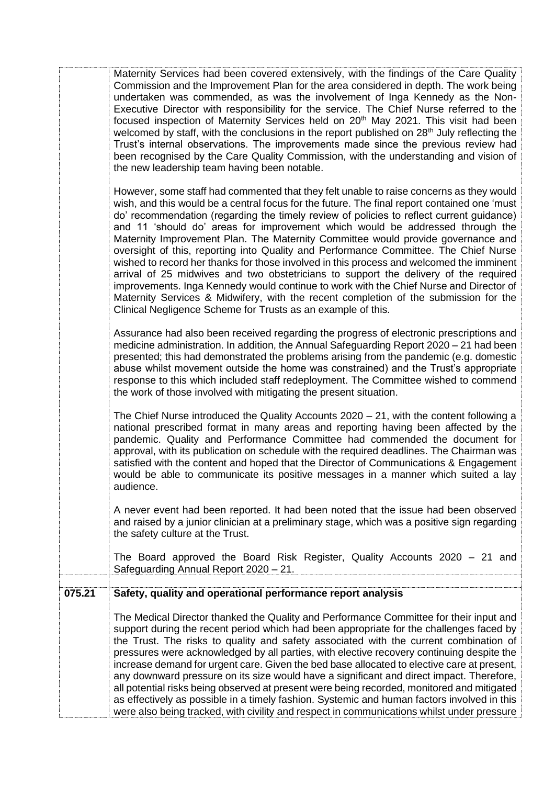|        | Maternity Services had been covered extensively, with the findings of the Care Quality<br>Commission and the Improvement Plan for the area considered in depth. The work being<br>undertaken was commended, as was the involvement of Inga Kennedy as the Non-<br>Executive Director with responsibility for the service. The Chief Nurse referred to the<br>focused inspection of Maternity Services held on 20 <sup>th</sup> May 2021. This visit had been<br>welcomed by staff, with the conclusions in the report published on 28 <sup>th</sup> July reflecting the<br>Trust's internal observations. The improvements made since the previous review had<br>been recognised by the Care Quality Commission, with the understanding and vision of<br>the new leadership team having been notable.<br>However, some staff had commented that they felt unable to raise concerns as they would<br>wish, and this would be a central focus for the future. The final report contained one 'must<br>do' recommendation (regarding the timely review of policies to reflect current guidance)<br>and 11 'should do' areas for improvement which would be addressed through the |
|--------|-------------------------------------------------------------------------------------------------------------------------------------------------------------------------------------------------------------------------------------------------------------------------------------------------------------------------------------------------------------------------------------------------------------------------------------------------------------------------------------------------------------------------------------------------------------------------------------------------------------------------------------------------------------------------------------------------------------------------------------------------------------------------------------------------------------------------------------------------------------------------------------------------------------------------------------------------------------------------------------------------------------------------------------------------------------------------------------------------------------------------------------------------------------------------------|
|        | Maternity Improvement Plan. The Maternity Committee would provide governance and<br>oversight of this, reporting into Quality and Performance Committee. The Chief Nurse<br>wished to record her thanks for those involved in this process and welcomed the imminent<br>arrival of 25 midwives and two obstetricians to support the delivery of the required<br>improvements. Inga Kennedy would continue to work with the Chief Nurse and Director of<br>Maternity Services & Midwifery, with the recent completion of the submission for the<br>Clinical Negligence Scheme for Trusts as an example of this.                                                                                                                                                                                                                                                                                                                                                                                                                                                                                                                                                                |
|        | Assurance had also been received regarding the progress of electronic prescriptions and<br>medicine administration. In addition, the Annual Safeguarding Report 2020 – 21 had been<br>presented; this had demonstrated the problems arising from the pandemic (e.g. domestic<br>abuse whilst movement outside the home was constrained) and the Trust's appropriate<br>response to this which included staff redeployment. The Committee wished to commend<br>the work of those involved with mitigating the present situation.                                                                                                                                                                                                                                                                                                                                                                                                                                                                                                                                                                                                                                               |
|        | The Chief Nurse introduced the Quality Accounts $2020 - 21$ , with the content following a<br>national prescribed format in many areas and reporting having been affected by the<br>pandemic. Quality and Performance Committee had commended the document for<br>approval, with its publication on schedule with the required deadlines. The Chairman was<br>satisfied with the content and hoped that the Director of Communications & Engagement<br>would be able to communicate its positive messages in a manner which suited a lay<br>audience.                                                                                                                                                                                                                                                                                                                                                                                                                                                                                                                                                                                                                         |
|        | A never event had been reported. It had been noted that the issue had been observed<br>and raised by a junior clinician at a preliminary stage, which was a positive sign regarding<br>the safety culture at the Trust.                                                                                                                                                                                                                                                                                                                                                                                                                                                                                                                                                                                                                                                                                                                                                                                                                                                                                                                                                       |
|        | The Board approved the Board Risk Register, Quality Accounts 2020 - 21 and<br>Safeguarding Annual Report 2020 - 21.                                                                                                                                                                                                                                                                                                                                                                                                                                                                                                                                                                                                                                                                                                                                                                                                                                                                                                                                                                                                                                                           |
| 075.21 | Safety, quality and operational performance report analysis                                                                                                                                                                                                                                                                                                                                                                                                                                                                                                                                                                                                                                                                                                                                                                                                                                                                                                                                                                                                                                                                                                                   |
|        | The Medical Director thanked the Quality and Performance Committee for their input and<br>support during the recent period which had been appropriate for the challenges faced by<br>the Trust. The risks to quality and safety associated with the current combination of<br>pressures were acknowledged by all parties, with elective recovery continuing despite the<br>increase demand for urgent care. Given the bed base allocated to elective care at present,<br>any downward pressure on its size would have a significant and direct impact. Therefore,<br>all potential risks being observed at present were being recorded, monitored and mitigated<br>as effectively as possible in a timely fashion. Systemic and human factors involved in this<br>were also being tracked, with civility and respect in communications whilst under pressure                                                                                                                                                                                                                                                                                                                  |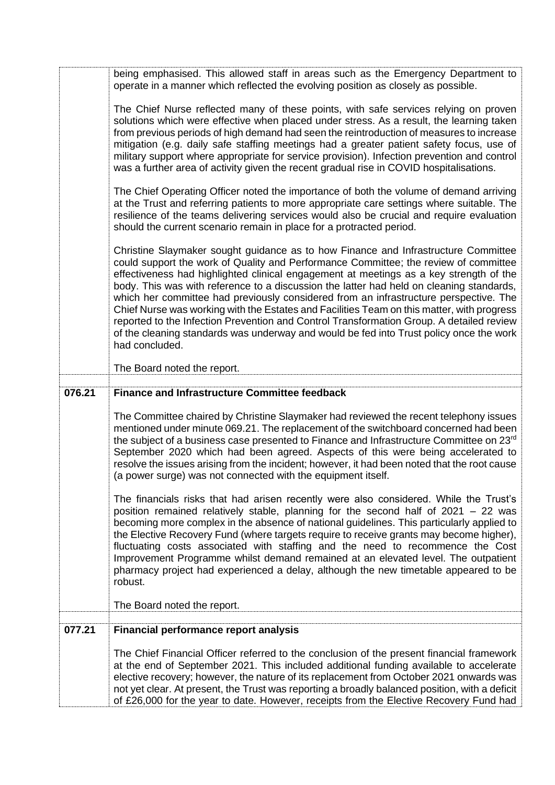|        | being emphasised. This allowed staff in areas such as the Emergency Department to<br>operate in a manner which reflected the evolving position as closely as possible.                                                                                                                                                                                                                                                                                                                                                                                                                                                                                                                                                                                           |
|--------|------------------------------------------------------------------------------------------------------------------------------------------------------------------------------------------------------------------------------------------------------------------------------------------------------------------------------------------------------------------------------------------------------------------------------------------------------------------------------------------------------------------------------------------------------------------------------------------------------------------------------------------------------------------------------------------------------------------------------------------------------------------|
|        | The Chief Nurse reflected many of these points, with safe services relying on proven<br>solutions which were effective when placed under stress. As a result, the learning taken<br>from previous periods of high demand had seen the reintroduction of measures to increase<br>mitigation (e.g. daily safe staffing meetings had a greater patient safety focus, use of<br>military support where appropriate for service provision). Infection prevention and control<br>was a further area of activity given the recent gradual rise in COVID hospitalisations.                                                                                                                                                                                               |
|        | The Chief Operating Officer noted the importance of both the volume of demand arriving<br>at the Trust and referring patients to more appropriate care settings where suitable. The<br>resilience of the teams delivering services would also be crucial and require evaluation<br>should the current scenario remain in place for a protracted period.                                                                                                                                                                                                                                                                                                                                                                                                          |
|        | Christine Slaymaker sought guidance as to how Finance and Infrastructure Committee<br>could support the work of Quality and Performance Committee; the review of committee<br>effectiveness had highlighted clinical engagement at meetings as a key strength of the<br>body. This was with reference to a discussion the latter had held on cleaning standards,<br>which her committee had previously considered from an infrastructure perspective. The<br>Chief Nurse was working with the Estates and Facilities Team on this matter, with progress<br>reported to the Infection Prevention and Control Transformation Group. A detailed review<br>of the cleaning standards was underway and would be fed into Trust policy once the work<br>had concluded. |
|        | The Board noted the report.                                                                                                                                                                                                                                                                                                                                                                                                                                                                                                                                                                                                                                                                                                                                      |
| 076.21 | <b>Finance and Infrastructure Committee feedback</b>                                                                                                                                                                                                                                                                                                                                                                                                                                                                                                                                                                                                                                                                                                             |
|        | The Committee chaired by Christine Slaymaker had reviewed the recent telephony issues<br>mentioned under minute 069.21. The replacement of the switchboard concerned had been<br>the subject of a business case presented to Finance and Infrastructure Committee on 23rd<br>September 2020 which had been agreed. Aspects of this were being accelerated to<br>resolve the issues arising from the incident; however, it had been noted that the root cause<br>(a power surge) was not connected with the equipment itself.                                                                                                                                                                                                                                     |
|        | The financials risks that had arisen recently were also considered. While the Trust's<br>position remained relatively stable, planning for the second half of $2021 - 22$ was<br>becoming more complex in the absence of national guidelines. This particularly applied to<br>the Elective Recovery Fund (where targets require to receive grants may become higher),<br>fluctuating costs associated with staffing and the need to recommence the Cost<br>Improvement Programme whilst demand remained at an elevated level. The outpatient<br>pharmacy project had experienced a delay, although the new timetable appeared to be<br>robust.                                                                                                                   |
|        | The Board noted the report.                                                                                                                                                                                                                                                                                                                                                                                                                                                                                                                                                                                                                                                                                                                                      |
| 077.21 | <b>Financial performance report analysis</b>                                                                                                                                                                                                                                                                                                                                                                                                                                                                                                                                                                                                                                                                                                                     |
|        | The Chief Financial Officer referred to the conclusion of the present financial framework<br>at the end of September 2021. This included additional funding available to accelerate<br>elective recovery; however, the nature of its replacement from October 2021 onwards was                                                                                                                                                                                                                                                                                                                                                                                                                                                                                   |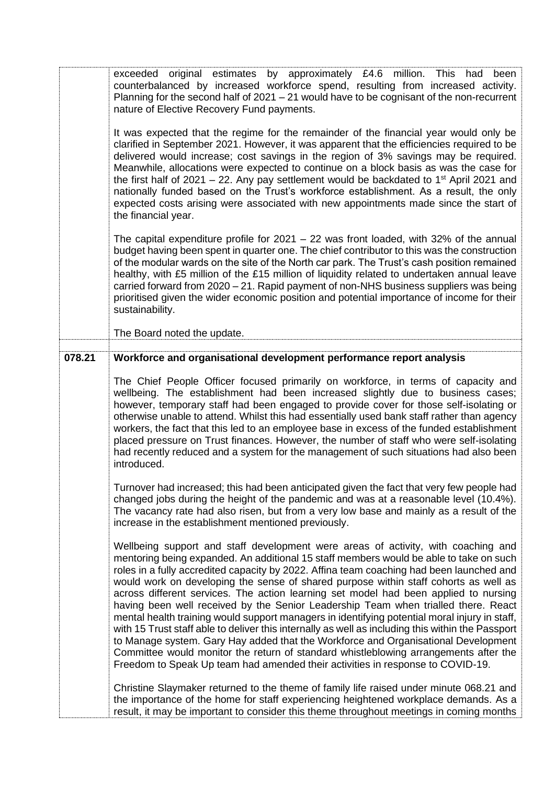|        | exceeded original estimates by approximately £4.6 million. This had<br>been<br>counterbalanced by increased workforce spend, resulting from increased activity.<br>Planning for the second half of 2021 - 21 would have to be cognisant of the non-recurrent<br>nature of Elective Recovery Fund payments.                                                                                                                                                                                                                                                                                                                                                                                                                                                                                                                                                                                                                                                                                                          |
|--------|---------------------------------------------------------------------------------------------------------------------------------------------------------------------------------------------------------------------------------------------------------------------------------------------------------------------------------------------------------------------------------------------------------------------------------------------------------------------------------------------------------------------------------------------------------------------------------------------------------------------------------------------------------------------------------------------------------------------------------------------------------------------------------------------------------------------------------------------------------------------------------------------------------------------------------------------------------------------------------------------------------------------|
|        | It was expected that the regime for the remainder of the financial year would only be<br>clarified in September 2021. However, it was apparent that the efficiencies required to be<br>delivered would increase; cost savings in the region of 3% savings may be required.<br>Meanwhile, allocations were expected to continue on a block basis as was the case for<br>the first half of 2021 – 22. Any pay settlement would be backdated to 1 <sup>st</sup> April 2021 and<br>nationally funded based on the Trust's workforce establishment. As a result, the only<br>expected costs arising were associated with new appointments made since the start of<br>the financial year.                                                                                                                                                                                                                                                                                                                                 |
|        | The capital expenditure profile for $2021 - 22$ was front loaded, with 32% of the annual<br>budget having been spent in quarter one. The chief contributor to this was the construction<br>of the modular wards on the site of the North car park. The Trust's cash position remained<br>healthy, with £5 million of the £15 million of liquidity related to undertaken annual leave<br>carried forward from 2020 - 21. Rapid payment of non-NHS business suppliers was being<br>prioritised given the wider economic position and potential importance of income for their<br>sustainability.                                                                                                                                                                                                                                                                                                                                                                                                                      |
|        | The Board noted the update.                                                                                                                                                                                                                                                                                                                                                                                                                                                                                                                                                                                                                                                                                                                                                                                                                                                                                                                                                                                         |
| 078.21 | Workforce and organisational development performance report analysis                                                                                                                                                                                                                                                                                                                                                                                                                                                                                                                                                                                                                                                                                                                                                                                                                                                                                                                                                |
|        | The Chief People Officer focused primarily on workforce, in terms of capacity and<br>wellbeing. The establishment had been increased slightly due to business cases;<br>however, temporary staff had been engaged to provide cover for those self-isolating or<br>otherwise unable to attend. Whilst this had essentially used bank staff rather than agency<br>workers, the fact that this led to an employee base in excess of the funded establishment<br>placed pressure on Trust finances. However, the number of staff who were self-isolating<br>had recently reduced and a system for the management of such situations had also been<br>introduced.                                                                                                                                                                                                                                                                                                                                                        |
|        | Turnover had increased; this had been anticipated given the fact that very few people had<br>changed jobs during the height of the pandemic and was at a reasonable level (10.4%).<br>The vacancy rate had also risen, but from a very low base and mainly as a result of the<br>increase in the establishment mentioned previously.                                                                                                                                                                                                                                                                                                                                                                                                                                                                                                                                                                                                                                                                                |
|        | Wellbeing support and staff development were areas of activity, with coaching and<br>mentoring being expanded. An additional 15 staff members would be able to take on such<br>roles in a fully accredited capacity by 2022. Affina team coaching had been launched and<br>would work on developing the sense of shared purpose within staff cohorts as well as<br>across different services. The action learning set model had been applied to nursing<br>having been well received by the Senior Leadership Team when trialled there. React<br>mental health training would support managers in identifying potential moral injury in staff,<br>with 15 Trust staff able to deliver this internally as well as including this within the Passport<br>to Manage system. Gary Hay added that the Workforce and Organisational Development<br>Committee would monitor the return of standard whistleblowing arrangements after the<br>Freedom to Speak Up team had amended their activities in response to COVID-19. |
|        | Christine Slaymaker returned to the theme of family life raised under minute 068.21 and<br>the importance of the home for staff experiencing heightened workplace demands. As a<br>result, it may be important to consider this theme throughout meetings in coming months                                                                                                                                                                                                                                                                                                                                                                                                                                                                                                                                                                                                                                                                                                                                          |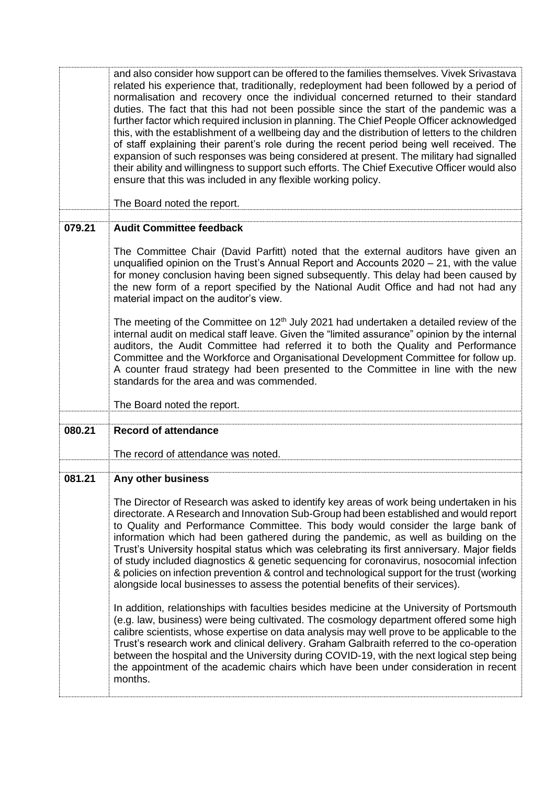|        | and also consider how support can be offered to the families themselves. Vivek Srivastava<br>related his experience that, traditionally, redeployment had been followed by a period of<br>normalisation and recovery once the individual concerned returned to their standard<br>duties. The fact that this had not been possible since the start of the pandemic was a<br>further factor which required inclusion in planning. The Chief People Officer acknowledged<br>this, with the establishment of a wellbeing day and the distribution of letters to the children<br>of staff explaining their parent's role during the recent period being well received. The<br>expansion of such responses was being considered at present. The military had signalled<br>their ability and willingness to support such efforts. The Chief Executive Officer would also<br>ensure that this was included in any flexible working policy.<br>The Board noted the report.                                                                                                                                                                                                                                                                                                                                                                  |
|--------|------------------------------------------------------------------------------------------------------------------------------------------------------------------------------------------------------------------------------------------------------------------------------------------------------------------------------------------------------------------------------------------------------------------------------------------------------------------------------------------------------------------------------------------------------------------------------------------------------------------------------------------------------------------------------------------------------------------------------------------------------------------------------------------------------------------------------------------------------------------------------------------------------------------------------------------------------------------------------------------------------------------------------------------------------------------------------------------------------------------------------------------------------------------------------------------------------------------------------------------------------------------------------------------------------------------------------------|
|        |                                                                                                                                                                                                                                                                                                                                                                                                                                                                                                                                                                                                                                                                                                                                                                                                                                                                                                                                                                                                                                                                                                                                                                                                                                                                                                                                    |
| 079.21 | <b>Audit Committee feedback</b>                                                                                                                                                                                                                                                                                                                                                                                                                                                                                                                                                                                                                                                                                                                                                                                                                                                                                                                                                                                                                                                                                                                                                                                                                                                                                                    |
|        | The Committee Chair (David Parfitt) noted that the external auditors have given an<br>unqualified opinion on the Trust's Annual Report and Accounts 2020 – 21, with the value<br>for money conclusion having been signed subsequently. This delay had been caused by<br>the new form of a report specified by the National Audit Office and had not had any<br>material impact on the auditor's view.                                                                                                                                                                                                                                                                                                                                                                                                                                                                                                                                                                                                                                                                                                                                                                                                                                                                                                                              |
|        | The meeting of the Committee on $12th$ July 2021 had undertaken a detailed review of the<br>internal audit on medical staff leave. Given the "limited assurance" opinion by the internal<br>auditors, the Audit Committee had referred it to both the Quality and Performance<br>Committee and the Workforce and Organisational Development Committee for follow up.<br>A counter fraud strategy had been presented to the Committee in line with the new<br>standards for the area and was commended.                                                                                                                                                                                                                                                                                                                                                                                                                                                                                                                                                                                                                                                                                                                                                                                                                             |
|        | The Board noted the report.                                                                                                                                                                                                                                                                                                                                                                                                                                                                                                                                                                                                                                                                                                                                                                                                                                                                                                                                                                                                                                                                                                                                                                                                                                                                                                        |
| 080.21 | <b>Record of attendance</b>                                                                                                                                                                                                                                                                                                                                                                                                                                                                                                                                                                                                                                                                                                                                                                                                                                                                                                                                                                                                                                                                                                                                                                                                                                                                                                        |
|        |                                                                                                                                                                                                                                                                                                                                                                                                                                                                                                                                                                                                                                                                                                                                                                                                                                                                                                                                                                                                                                                                                                                                                                                                                                                                                                                                    |
|        | The record of attendance was noted.                                                                                                                                                                                                                                                                                                                                                                                                                                                                                                                                                                                                                                                                                                                                                                                                                                                                                                                                                                                                                                                                                                                                                                                                                                                                                                |
| 081.21 | Any other business                                                                                                                                                                                                                                                                                                                                                                                                                                                                                                                                                                                                                                                                                                                                                                                                                                                                                                                                                                                                                                                                                                                                                                                                                                                                                                                 |
|        | The Director of Research was asked to identify key areas of work being undertaken in his<br>directorate. A Research and Innovation Sub-Group had been established and would report<br>to Quality and Performance Committee. This body would consider the large bank of<br>information which had been gathered during the pandemic, as well as building on the<br>Trust's University hospital status which was celebrating its first anniversary. Major fields<br>of study included diagnostics & genetic sequencing for coronavirus, nosocomial infection<br>& policies on infection prevention & control and technological support for the trust (working<br>alongside local businesses to assess the potential benefits of their services).<br>In addition, relationships with faculties besides medicine at the University of Portsmouth<br>(e.g. law, business) were being cultivated. The cosmology department offered some high<br>calibre scientists, whose expertise on data analysis may well prove to be applicable to the<br>Trust's research work and clinical delivery. Graham Galbraith referred to the co-operation<br>between the hospital and the University during COVID-19, with the next logical step being<br>the appointment of the academic chairs which have been under consideration in recent<br>months. |
|        |                                                                                                                                                                                                                                                                                                                                                                                                                                                                                                                                                                                                                                                                                                                                                                                                                                                                                                                                                                                                                                                                                                                                                                                                                                                                                                                                    |
|        |                                                                                                                                                                                                                                                                                                                                                                                                                                                                                                                                                                                                                                                                                                                                                                                                                                                                                                                                                                                                                                                                                                                                                                                                                                                                                                                                    |